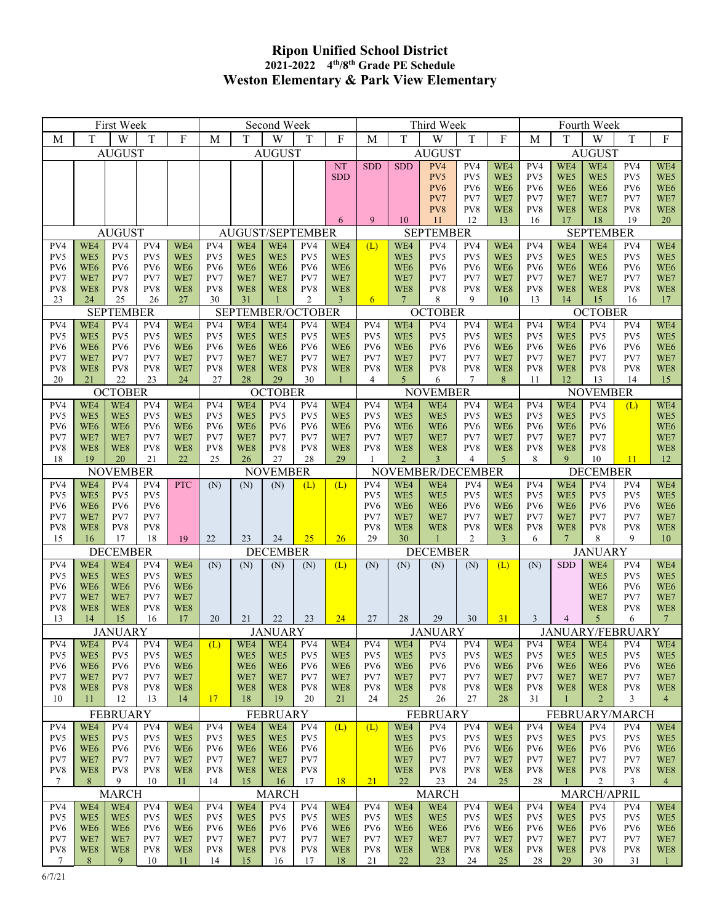## **Ripon Unified School District 2021-2022 4th/8th Grade PE Schedule Weston Elementary & Park View Elementary**

|                                                    |                                              | First Week             |                        |                        |                                                    |                                                        | Second Week            |                        |                        |                                                    | Third Week<br>Fourth Week |                        |                        |                                        |                                                   |                                 |                        |                        |                        |  |  |
|----------------------------------------------------|----------------------------------------------|------------------------|------------------------|------------------------|----------------------------------------------------|--------------------------------------------------------|------------------------|------------------------|------------------------|----------------------------------------------------|---------------------------|------------------------|------------------------|----------------------------------------|---------------------------------------------------|---------------------------------|------------------------|------------------------|------------------------|--|--|
| M                                                  | T                                            | W                      | $\rm T$                | $\mathbf{F}$           | $\mathbf M$                                        | T                                                      | W                      | T                      | $\rm F$                | M                                                  | T                         | W                      | $\mathbf T$            | F                                      | M                                                 | T                               | W                      | $\rm T$                | $\mathbf F$            |  |  |
| <b>AUGUST</b>                                      |                                              |                        |                        |                        | <b>AUGUST</b>                                      |                                                        |                        |                        |                        | <b>AUGUST</b>                                      |                           |                        |                        |                                        | <b>AUGUST</b>                                     |                                 |                        |                        |                        |  |  |
|                                                    |                                              |                        |                        |                        |                                                    |                                                        |                        |                        | <b>NT</b>              | <b>SDD</b>                                         | <b>SDD</b>                | PV4                    | PV4                    | WE4                                    | PV4                                               | WE4                             | WE4                    | PV4                    | WE4                    |  |  |
|                                                    |                                              |                        |                        |                        |                                                    |                                                        |                        |                        | <b>SDD</b>             |                                                    |                           | PV5<br>PV <sub>6</sub> | PV5<br>PV <sub>6</sub> | WE5<br>WE <sub>6</sub>                 | PV5<br>PV <sub>6</sub>                            | WE5<br>WE <sub>6</sub>          | WE5<br>WE <sub>6</sub> | PV5<br>PV6             | WE5<br>WE <sub>6</sub> |  |  |
|                                                    |                                              |                        |                        |                        |                                                    |                                                        |                        |                        |                        |                                                    |                           | PV7                    | PV7                    | WE7                                    | PV7                                               | WE7                             | WE7                    | PV7                    | WE7                    |  |  |
|                                                    |                                              |                        |                        |                        |                                                    |                                                        |                        |                        |                        |                                                    |                           | PV8                    | PV8                    | WE8                                    | PV8                                               | WE8                             | WE8                    | PV8                    | WE8                    |  |  |
| <b>AUGUST</b>                                      |                                              |                        |                        |                        | 6<br>AUGUST/SEPTEMBER                              |                                                        |                        |                        |                        | 9<br>10<br>12<br>13<br>11<br><b>SEPTEMBER</b>      |                           |                        |                        |                                        | 19<br>20<br>16<br>17<br>18<br><b>SEPTEMBER</b>    |                                 |                        |                        |                        |  |  |
| PV4<br>WE4<br>PV4<br>PV4<br>WE4                    |                                              |                        |                        |                        | PV4                                                | WE4                                                    | WE4                    | PV4                    | WE4                    | WE4<br>PV4<br>PV4<br>(L)<br>WE4                    |                           |                        |                        |                                        |                                                   | WE4<br>WE4<br>PV4<br>PV4<br>WE4 |                        |                        |                        |  |  |
| PV5                                                | WE5                                          | PV5                    | PV5                    | WE5                    | PV5                                                | WE5                                                    | WE5                    | PV5                    | WE5                    |                                                    | WE5                       | PV5                    | PV5                    | WE5                                    | PV5                                               | WE5                             | WE5                    | PV5                    | WE5                    |  |  |
| PV6                                                | WE <sub>6</sub>                              | PV <sub>6</sub>        | PV <sub>6</sub>        | WE <sub>6</sub>        | PV <sub>6</sub>                                    | WE <sub>6</sub>                                        | WE <sub>6</sub>        | PV <sub>6</sub>        | WE <sub>6</sub>        |                                                    | WE <sub>6</sub>           | PV <sub>6</sub>        | PV <sub>6</sub>        | WE <sub>6</sub>                        | PV <sub>6</sub>                                   | WE <sub>6</sub>                 | WE <sub>6</sub>        | PV6                    | WE <sub>6</sub>        |  |  |
| PV7<br>PV8                                         | WE7<br>WE8                                   | PV7<br>PV8             | PV7<br>PV8             | WE7<br>WE8             | PV7<br>PV8                                         | WE7<br>WE8                                             | WE7<br>WE8             | PV7<br>PV8             | WE7<br>WE8             |                                                    | WE7<br>WE8                | PV7<br>PV8             | PV7<br>PV8             | WE7<br>WE8                             | PV7<br>PV8                                        | WE7<br>WE8                      | WE7<br>WE8             | PV7<br>PV8             | WE7<br>WE8             |  |  |
| 23                                                 | 24                                           | 25                     | 26                     | 27                     | 30                                                 | 31                                                     |                        | 2                      | $\mathbf{3}$           | 6                                                  | $7\phantom{.0}$           | 8                      | 9                      | 10                                     | 13                                                | 14                              | 15                     | 16                     | 17                     |  |  |
| <b>SEPTEMBER</b>                                   |                                              |                        |                        |                        |                                                    | SEPTEMBER/OCTOBER                                      |                        |                        |                        |                                                    |                           | <b>OCTOBER</b>         |                        |                                        | <b>OCTOBER</b>                                    |                                 |                        |                        |                        |  |  |
| PV4<br>PV5                                         | WE4<br>WE5                                   | PV4<br>PV5             | PV4<br>PV5             | WE4<br>WE5             | PV4<br>PV5                                         | WE4<br>WE5                                             | WE4<br>WE5             | PV4<br>PV5             | WE4<br>WE5             | PV4<br>PV5                                         | WE4<br>WE5                | PV4<br>PV5             | PV4<br>PV5             | WE4<br>WE5                             | PV4<br>PV5                                        | WE4<br>WE5                      | PV4<br>PV5             | PV4<br>PV5             | WE4<br>WE5             |  |  |
| PV <sub>6</sub>                                    | WE <sub>6</sub>                              | PV <sub>6</sub>        | PV <sub>6</sub>        | WE <sub>6</sub>        | PV <sub>6</sub>                                    | WE <sub>6</sub>                                        | WE <sub>6</sub>        | PV <sub>6</sub>        | WE <sub>6</sub>        | PV <sub>6</sub>                                    | WE <sub>6</sub>           | PV <sub>6</sub>        | PV <sub>6</sub>        | WE <sub>6</sub>                        | PV <sub>6</sub>                                   | WE <sub>6</sub>                 | PV <sub>6</sub>        | PV6                    | WE <sub>6</sub>        |  |  |
| PV7                                                | WE7                                          | PV7                    | PV7                    | WE7                    | PV7                                                | WE7                                                    | WE7                    | PV7                    | WE7                    | PV7                                                | WE7                       | PV7                    | PV7                    | WE7                                    | PV7                                               | WE7                             | PV7                    | PV7                    | WE7                    |  |  |
| PV8                                                | WE8                                          | PV8                    | PV8                    | WE7                    | PV8                                                | WE8                                                    | WE8                    | PV8                    | WE8                    | PV8<br>4                                           | WE8                       | PV8                    | PV8                    | WE8                                    | PV8                                               | WE8                             | PV8                    | PV8                    | WE8                    |  |  |
|                                                    | 20<br>22<br>23<br>24<br>21<br><b>OCTOBER</b> |                        |                        |                        |                                                    | 27<br>28<br>29<br>30<br>$\mathbf{1}$<br><b>OCTOBER</b> |                        |                        |                        |                                                    | 5                         | 6<br><b>NOVEMBER</b>   | 7                      | 8                                      | 12<br>13<br>14<br>11<br>15<br><b>NOVEMBER</b>     |                                 |                        |                        |                        |  |  |
| PV4                                                | WE4<br>WE4<br>PV4<br>WE4                     |                        |                        |                        | PV4<br>PV4<br>WE4<br>PV4<br>WE4                    |                                                        |                        |                        |                        | PV4                                                | WE4                       | WE4                    | PV4                    | WE4                                    | PV4                                               | WE4<br>PV4<br>WE4<br>(L)        |                        |                        |                        |  |  |
| PV5                                                | WE5                                          | WE5                    | PV5                    | WE5                    | PV5                                                | WE5                                                    | PV5                    | PV5                    | WE5                    | PV5                                                | WE5                       | WE5                    | PV5                    | WE5                                    | PV5                                               | WE5                             | PV5                    |                        | WE5                    |  |  |
| PV <sub>6</sub>                                    | WE <sub>6</sub>                              | WE <sub>6</sub>        | PV <sub>6</sub>        | WE <sub>6</sub>        | PV <sub>6</sub>                                    | WE <sub>6</sub>                                        | PV <sub>6</sub>        | PV <sub>6</sub>        | WE <sub>6</sub>        | PV <sub>6</sub>                                    | WE <sub>6</sub>           | WE <sub>6</sub>        | PV <sub>6</sub>        | WE <sub>6</sub>                        | PV <sub>6</sub>                                   | WE <sub>6</sub>                 | PV <sub>6</sub>        |                        | WE <sub>6</sub>        |  |  |
| PV7<br>PV8                                         | WE7<br>WE8                                   | WE7<br>WE8             | PV7<br>PV8             | WE7<br>WE8             | PV7<br>PV8                                         | WE7<br>WE8                                             | PV7<br>PV8             | PV7<br>PV8             | WE7<br>WE8             | PV7<br>PV8                                         | WE7<br>WE8                | WE7<br>WE8             | PV7<br>PV8             | WE7<br>WE8                             | PV7<br>PV8                                        | WE7<br>WE8                      | PV7<br>PV8             |                        | WE7<br>WE8             |  |  |
| 18                                                 | 19                                           | 20                     | 21                     | 22                     | 25                                                 | 26                                                     | 27                     | 28                     | 29                     | -1                                                 | $\overline{2}$            | 3                      | $\overline{4}$         | $\mathfrak{S}$                         | 8                                                 | 9                               | 10                     | 11                     | 12                     |  |  |
|                                                    | <b>NOVEMBER</b>                              |                        |                        |                        |                                                    | <b>NOVEMBER</b>                                        |                        |                        |                        |                                                    | NOVEMBER/DECEMBER         |                        |                        |                                        |                                                   | <b>DECEMBER</b>                 |                        |                        |                        |  |  |
| PV4                                                | WE4                                          | PV4                    | PV4                    | PTC                    | (N)                                                | (N)                                                    | (N)                    | (L)                    | (L)                    | PV4                                                | WE4                       | WE4                    | PV4                    | WE4                                    | PV4                                               | WE4                             | PV4                    | PV4                    | WE4                    |  |  |
| PV5<br>PV6                                         | WE5<br>WE <sub>6</sub>                       | PV5<br>PV <sub>6</sub> | PV5<br>PV <sub>6</sub> |                        |                                                    |                                                        |                        |                        |                        | PV5<br>PV <sub>6</sub>                             | WE5<br>WE <sub>6</sub>    | WE5<br>WE <sub>6</sub> | PV5<br>PV <sub>6</sub> | WE5<br>WE <sub>6</sub>                 | PV5<br>PV <sub>6</sub>                            | WE5<br>WE <sub>6</sub>          | PV5<br>PV <sub>6</sub> | PV5<br>PV6             | WE5<br>WE <sub>6</sub> |  |  |
| PV7                                                | WE7                                          | PV7                    | PV7                    |                        |                                                    |                                                        |                        |                        |                        | PV7                                                | WE7                       | WE7                    | PV7                    | WE7                                    | PV7                                               | WE7                             | PV7                    | PV7                    | WE7                    |  |  |
| PV8                                                | WE8                                          | PV8                    | PV8                    |                        |                                                    |                                                        | 24                     | 25                     |                        | PV8<br>29                                          | WE8<br>30                 | WE8                    | PV8<br>2               | WE8                                    | PV8<br>6                                          | WE8<br>$7\phantom{.0}$          | PV8<br>8               | PV8<br>9               | WE8<br>10              |  |  |
| 18<br>15<br>16<br>17<br>19<br><b>DECEMBER</b>      |                                              |                        |                        |                        | 22<br>23<br>26<br><b>DECEMBER</b>                  |                                                        |                        |                        |                        |                                                    |                           | <b>DECEMBER</b>        |                        | $\mathbf{3}$                           | <b>JANUARY</b>                                    |                                 |                        |                        |                        |  |  |
| PV4                                                | WE4<br>WE4<br>PV4<br>WE4                     |                        |                        | (N)                    | (N)                                                | (N)                                                    | (N)                    | (L)                    | (N)                    | (N)                                                | (N)                       | (N)                    | (L)                    | WE4<br><b>SDD</b><br>WE4<br>(N)<br>PV4 |                                                   |                                 |                        |                        |                        |  |  |
| PV5                                                | WE5                                          | WE5                    | PV5                    | WE5                    |                                                    |                                                        |                        |                        |                        |                                                    |                           |                        |                        |                                        |                                                   |                                 | WE5                    | PV5                    | WE5                    |  |  |
| PV <sub>6</sub>                                    | WE <sub>6</sub>                              | WE <sub>6</sub>        | PV <sub>6</sub>        | WE <sub>6</sub>        |                                                    |                                                        |                        |                        |                        |                                                    |                           |                        |                        |                                        |                                                   |                                 | WE <sub>6</sub>        | PV <sub>6</sub>        | WE <sub>6</sub>        |  |  |
| PV7<br>PV8                                         | WE7<br>WE8                                   | WE7<br>WE8             | PV7<br>PV8             | WE7<br>WE8             |                                                    |                                                        |                        |                        |                        |                                                    |                           |                        |                        |                                        |                                                   |                                 | WE7<br>WE8             | PV7<br>PV8             | WE7<br>WE8             |  |  |
| 13                                                 | 14                                           | 15                     | 16                     | 17                     | 20                                                 | 21                                                     | 22                     | 23                     | 24                     | 27                                                 | 28                        | 29                     | 30                     | 31                                     | 3                                                 | 4                               | 5                      | 6                      | 7                      |  |  |
| <b>JANUARY</b>                                     |                                              |                        |                        |                        | <b>JANUARY</b>                                     |                                                        |                        |                        |                        |                                                    |                           | <b>JANUARY</b>         |                        |                                        | <b>JANUARY/FEBRUARY</b>                           |                                 |                        |                        |                        |  |  |
| PV4<br>PV5                                         | WE4<br>WE5                                   | PV4<br>PV5             | PV4<br>PV5             | WE4<br>WE5             | (L)                                                | WE4<br>WE5                                             | WE4<br>WE5             | PV4<br>PV5             | WE4<br>WE5             | PV4<br>PV5                                         | WE4<br>WE5                | PV4<br>PV5             | PV4<br>PV5             | WE4<br>WE5                             | PV4<br>PV5                                        | WE4<br>WE5                      | WE4<br>WE5             | PV4<br>PV5             | WE4<br>WE5             |  |  |
| PV <sub>6</sub>                                    | WE <sub>6</sub>                              | PV <sub>6</sub>        | PV <sub>6</sub>        | WE <sub>6</sub>        |                                                    | WE <sub>6</sub>                                        | WE <sub>6</sub>        | PV <sub>6</sub>        | WE <sub>6</sub>        | PV <sub>6</sub>                                    | WE <sub>6</sub>           | PV <sub>6</sub>        | PV <sub>6</sub>        | WE <sub>6</sub>                        | PV <sub>6</sub>                                   | WE <sub>6</sub>                 | WE <sub>6</sub>        | PV <sub>6</sub>        | WE <sub>6</sub>        |  |  |
| PV7                                                | WE7                                          | PV7                    | PV7                    | WE7                    |                                                    | WE7                                                    | WE7                    | PV7                    | WE7                    | PV7                                                | WE7                       | PV7                    | PV7                    | WE7                                    | PV7                                               | WE7                             | WE7                    | PV7                    | WE7                    |  |  |
| PV8<br>10                                          | WE8<br>11                                    | PV8<br>12              | PV8<br>13              | WE8<br>14              | 17                                                 | WE8                                                    | WE8<br>19              | PV8<br>20              | WE8<br>21              | PV8<br>24                                          | WE8<br>25                 | PV8<br>26              | PV8<br>27              | WE8                                    | PV8<br>31                                         | WE8                             | WE8<br>$\overline{2}$  | PV8                    | WE8                    |  |  |
|                                                    |                                              |                        |                        |                        |                                                    | 18                                                     |                        |                        |                        |                                                    |                           |                        |                        | 28                                     |                                                   | $\mathbf{1}$                    |                        | 3                      | $\overline{4}$         |  |  |
| <b>FEBRUARY</b><br>PV4<br>PV4<br>WE4<br>PV4<br>WE4 |                                              |                        |                        |                        | <b>FEBRUARY</b><br>PV4<br>WE4<br>WE4<br>PV4<br>(L) |                                                        |                        |                        |                        | <b>FEBRUARY</b><br>PV4<br>WE4<br>(L)<br>PV4<br>WE4 |                           |                        |                        |                                        | FEBRUARY/MARCH<br>WE4<br>PV4<br>PV4<br>WE4<br>PV4 |                                 |                        |                        |                        |  |  |
| PV5                                                | WE5                                          | PV5                    | PV5                    | WE5                    | PV5                                                | WE5                                                    | WE5                    | PV <sub>5</sub>        |                        |                                                    | WE5                       | PV5                    | PV5                    | WE5                                    | PV5                                               | WE5                             | PV5                    | PV5                    | WE5                    |  |  |
| PV <sub>6</sub>                                    | WE <sub>6</sub>                              | PV <sub>6</sub>        | PV <sub>6</sub>        | WE <sub>6</sub>        | PV <sub>6</sub>                                    | WE <sub>6</sub>                                        | WE <sub>6</sub>        | PV <sub>6</sub>        |                        |                                                    | WE <sub>6</sub>           | PV <sub>6</sub>        | PV <sub>6</sub>        | WE <sub>6</sub>                        | PV <sub>6</sub>                                   | WE <sub>6</sub>                 | PV <sub>6</sub>        | PV <sub>6</sub>        | WE <sub>6</sub>        |  |  |
| PV7<br>PV8                                         | WE7<br>WE8                                   | PV7<br>PV8             | PV7<br>PV8             | WE7<br>WE8             | PV7<br>PV8                                         | WE7<br>WE8                                             | WE7<br>WE8             | PV7<br>PV8             |                        |                                                    | WE7<br>WE8                | PV7<br>PV8             | PV7<br>PV8             | WE7<br>WE8                             | PV7<br>PV8                                        | WE7<br>WE8                      | PV7<br>PV8             | PV7<br>PV8             | WE7<br>WE8             |  |  |
| $\tau$                                             | 8                                            | 9                      | 10                     | 11                     | 14                                                 | 15                                                     | <sup>16</sup>          | 17                     | 18                     | 21                                                 | 22                        | 23                     | 24                     | 25                                     | 28                                                | $\mathbf{1}$                    | $\overline{2}$         | 3                      | $\overline{4}$         |  |  |
|                                                    |                                              | <b>MARCH</b>           |                        |                        | <b>MARCH</b>                                       |                                                        |                        |                        |                        | <b>MARCH</b>                                       |                           |                        |                        |                                        | MARCH/APRIL                                       |                                 |                        |                        |                        |  |  |
| PV4                                                | WE4                                          | WE4                    | PV4                    | WE4                    | PV4                                                | WE4                                                    | PV4                    | PV4                    | WE4                    | PV4                                                | WE4                       | WE4                    | PV4                    | WE4                                    | PV4                                               | WE4                             | PV4                    | PV4                    | WE4                    |  |  |
| PV <sub>5</sub><br>PV <sub>6</sub>                 | WE5<br>WE <sub>6</sub>                       | WE5<br>WE <sub>6</sub> | PV5<br>PV <sub>6</sub> | WE5<br>WE <sub>6</sub> | PV5<br>PV <sub>6</sub>                             | WE5<br>WE <sub>6</sub>                                 | PV5<br>PV <sub>6</sub> | PV5<br>PV <sub>6</sub> | WE5<br>WE <sub>6</sub> | PV5<br>PV <sub>6</sub>                             | WE5<br>WE <sub>6</sub>    | WE5<br>WE <sub>6</sub> | PV5<br>PV <sub>6</sub> | WE5<br>WE <sub>6</sub>                 | PV5<br>PV <sub>6</sub>                            | WE5<br>WE <sub>6</sub>          | PV5<br>PV <sub>6</sub> | PV5<br>PV <sub>6</sub> | WE5<br>WE <sub>6</sub> |  |  |
| PV7                                                | WE7                                          | WE7                    | PV7                    | WE7                    | PV7                                                | WE7                                                    | PV7                    | PV7                    | WE7                    | PV7                                                | WE7                       | WE7                    | PV7                    | WE7                                    | PV7                                               | WE7                             | PV7                    | PV7                    | WE7                    |  |  |
| PV8                                                | WE8                                          | WE8                    | PV8                    | WE8                    | PV8                                                | WE8                                                    | PV8                    | PV8                    | WE8                    | PV8                                                | WE8                       | WE8                    | PV8                    | WE8                                    | PV8                                               | WE8                             | PV8                    | PV8                    | WE8                    |  |  |
| 7                                                  | 8                                            | 9                      | 10                     | 11                     | 14                                                 | 15                                                     | 16                     | 17                     | 18                     | 21                                                 | 22                        | 23                     | 24                     | 25                                     | 28                                                | 29                              | 30                     | 31                     | -1                     |  |  |